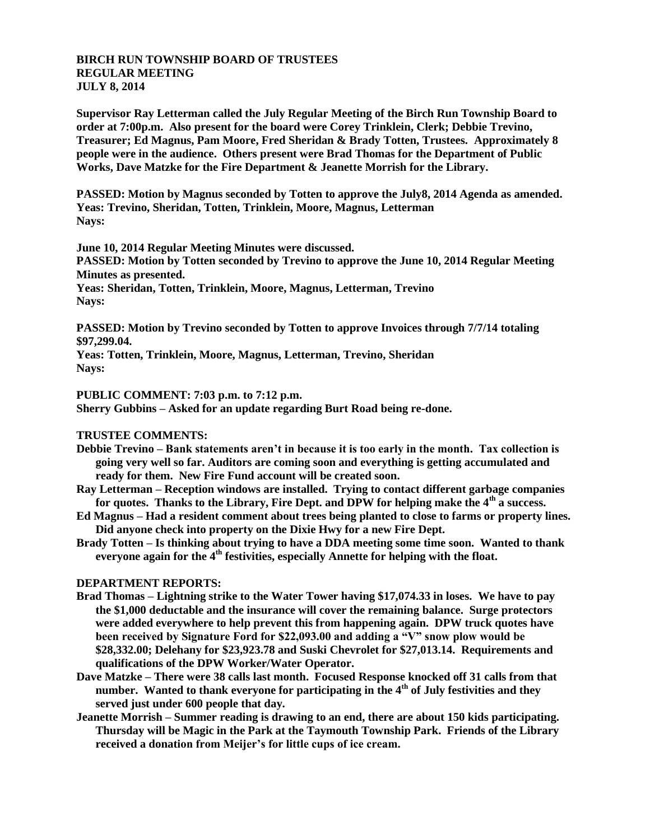## **BIRCH RUN TOWNSHIP BOARD OF TRUSTEES REGULAR MEETING JULY 8, 2014**

**Supervisor Ray Letterman called the July Regular Meeting of the Birch Run Township Board to order at 7:00p.m. Also present for the board were Corey Trinklein, Clerk; Debbie Trevino, Treasurer; Ed Magnus, Pam Moore, Fred Sheridan & Brady Totten, Trustees. Approximately 8 people were in the audience. Others present were Brad Thomas for the Department of Public Works, Dave Matzke for the Fire Department & Jeanette Morrish for the Library.**

**PASSED: Motion by Magnus seconded by Totten to approve the July8, 2014 Agenda as amended. Yeas: Trevino, Sheridan, Totten, Trinklein, Moore, Magnus, Letterman Nays:** 

**June 10, 2014 Regular Meeting Minutes were discussed. PASSED: Motion by Totten seconded by Trevino to approve the June 10, 2014 Regular Meeting Minutes as presented. Yeas: Sheridan, Totten, Trinklein, Moore, Magnus, Letterman, Trevino Nays:** 

**PASSED: Motion by Trevino seconded by Totten to approve Invoices through 7/7/14 totaling \$97,299.04.**

**Yeas: Totten, Trinklein, Moore, Magnus, Letterman, Trevino, Sheridan Nays:**

**PUBLIC COMMENT: 7:03 p.m. to 7:12 p.m.**

**Sherry Gubbins – Asked for an update regarding Burt Road being re-done.**

## **TRUSTEE COMMENTS:**

- **Debbie Trevino – Bank statements aren't in because it is too early in the month. Tax collection is going very well so far. Auditors are coming soon and everything is getting accumulated and ready for them. New Fire Fund account will be created soon.**
- **Ray Letterman – Reception windows are installed. Trying to contact different garbage companies for quotes. Thanks to the Library, Fire Dept. and DPW for helping make the 4th a success.**
- **Ed Magnus – Had a resident comment about trees being planted to close to farms or property lines. Did anyone check into property on the Dixie Hwy for a new Fire Dept.**
- **Brady Totten – Is thinking about trying to have a DDA meeting some time soon. Wanted to thank everyone again for the 4th festivities, especially Annette for helping with the float.**

## **DEPARTMENT REPORTS:**

- **Brad Thomas – Lightning strike to the Water Tower having \$17,074.33 in loses. We have to pay the \$1,000 deductable and the insurance will cover the remaining balance. Surge protectors were added everywhere to help prevent this from happening again. DPW truck quotes have been received by Signature Ford for \$22,093.00 and adding a "V" snow plow would be \$28,332.00; Delehany for \$23,923.78 and Suski Chevrolet for \$27,013.14. Requirements and qualifications of the DPW Worker/Water Operator.**
- **Dave Matzke – There were 38 calls last month. Focused Response knocked off 31 calls from that number. Wanted to thank everyone for participating in the 4th of July festivities and they served just under 600 people that day.**
- **Jeanette Morrish – Summer reading is drawing to an end, there are about 150 kids participating. Thursday will be Magic in the Park at the Taymouth Township Park. Friends of the Library received a donation from Meijer's for little cups of ice cream.**